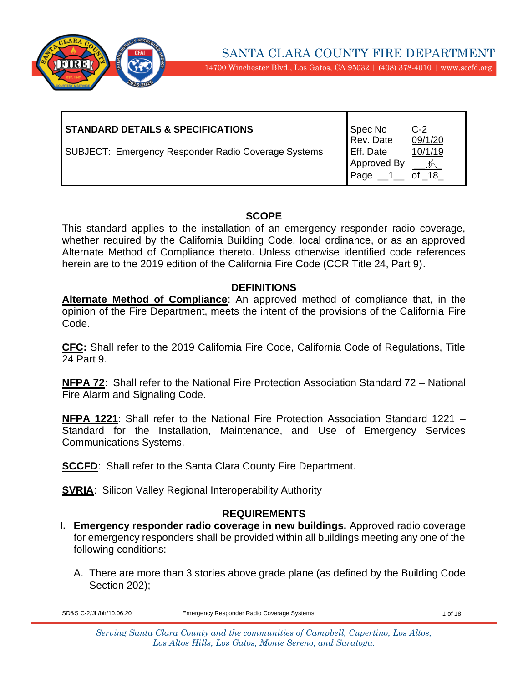

14700 Winchester Blvd., Los Gatos, CA 95032 | (408) 378-4010 | www.sccfd.org

| <b>STANDARD DETAILS &amp; SPECIFICATIONS</b>        | Spec No<br>Rev. Date             | $C-2$<br>$\overline{09/1/20}$ |
|-----------------------------------------------------|----------------------------------|-------------------------------|
| SUBJECT: Emergency Responder Radio Coverage Systems | Eff. Date<br>Approved By<br>Page | 10/1/19<br>18                 |

#### **SCOPE**

This standard applies to the installation of an emergency responder radio coverage, whether required by the California Building Code, local ordinance, or as an approved Alternate Method of Compliance thereto. Unless otherwise identified code references herein are to the 2019 edition of the California Fire Code (CCR Title 24, Part 9).

#### **DEFINITIONS**

**Alternate Method of Compliance**: An approved method of compliance that, in the opinion of the Fire Department, meets the intent of the provisions of the California Fire Code.

**CFC:** Shall refer to the 2019 California Fire Code, California Code of Regulations, Title 24 Part 9.

**NFPA 72**: Shall refer to the National Fire Protection Association Standard 72 – National Fire Alarm and Signaling Code.

**NFPA 1221**: Shall refer to the National Fire Protection Association Standard 1221 – Standard for the Installation, Maintenance, and Use of Emergency Services Communications Systems.

**SCCFD:** Shall refer to the Santa Clara County Fire Department.

**SVRIA:** Silicon Valley Regional Interoperability Authority

### **REQUIREMENTS**

- **I. Emergency responder radio coverage in new buildings.** Approved radio coverage for emergency responders shall be provided within all buildings meeting any one of the following conditions:
	- A. There are more than 3 stories above grade plane (as defined by the Building Code Section 202):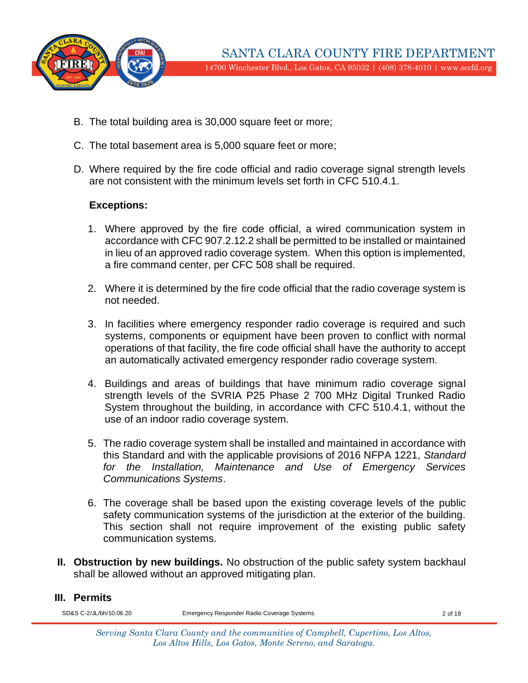

- B. The total building area is 30,000 square feet or more;
- C. The total basement area is 5,000 square feet or more;
- D. Where required by the fire code official and radio coverage signal strength levels are not consistent with the minimum levels set forth in CFC 510.4.1.

#### **Exceptions:**

- 1. Where approved by the fire code official, a wired communication system in accordance with CFC 907.2.12.2 shall be permitted to be installed or maintained in lieu of an approved radio coverage system. When this option is implemented, a fire command center, per CFC 508 shall be required.
- 2. Where it is determined by the fire code official that the radio coverage system is not needed.
- 3. In facilities where emergency responder radio coverage is required and such systems, components or equipment have been proven to conflict with normal operations of that facility, the fire code official shall have the authority to accept an automatically activated emergency responder radio coverage system.
- 4. Buildings and areas of buildings that have minimum radio coverage signal strength levels of the SVRIA P25 Phase 2 700 MHz Digital Trunked Radio System throughout the building, in accordance with CFC 510.4.1, without the use of an indoor radio coverage system.
- 5. The radio coverage system shall be installed and maintained in accordance with this Standard and with the applicable provisions of 2016 NFPA 1221, *Standard for the Installation, Maintenance and Use of Emergency Services Communications Systems*.
- 6. The coverage shall be based upon the existing coverage levels of the public safety communication systems of the jurisdiction at the exterior of the building. This section shall not require improvement of the existing public safety communication systems.
- **II. Obstruction by new buildings.** No obstruction of the public safety system backhaul shall be allowed without an approved mitigating plan.

#### **III. Permits**

SD&S C-2/JL/bh/10.06.20 Emergency Responder Radio Coverage Systems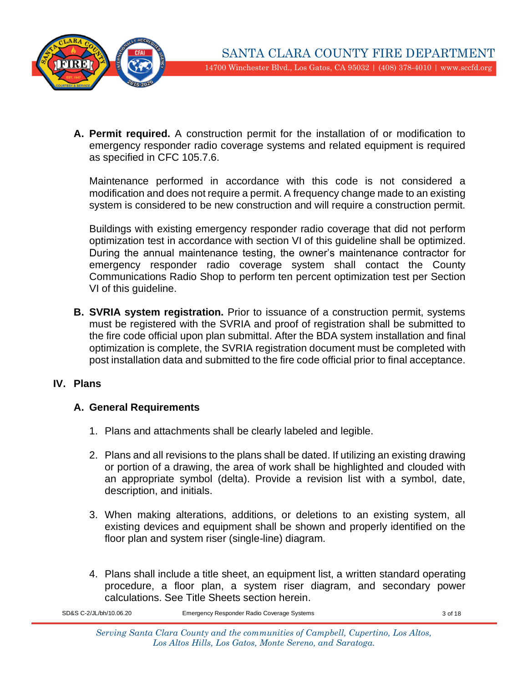

**A. Permit required.** A construction permit for the installation of or modification to emergency responder radio coverage systems and related equipment is required as specified in CFC 105.7.6.

Maintenance performed in accordance with this code is not considered a modification and does not require a permit. A frequency change made to an existing system is considered to be new construction and will require a construction permit.

Buildings with existing emergency responder radio coverage that did not perform optimization test in accordance with section VI of this guideline shall be optimized. During the annual maintenance testing, the owner's maintenance contractor for emergency responder radio coverage system shall contact the County Communications Radio Shop to perform ten percent optimization test per Section VI of this guideline.

**B. SVRIA system registration.** Prior to issuance of a construction permit, systems must be registered with the SVRIA and proof of registration shall be submitted to the fire code official upon plan submittal. After the BDA system installation and final optimization is complete, the SVRIA registration document must be completed with post installation data and submitted to the fire code official prior to final acceptance.

### **IV. Plans**

# **A. General Requirements**

- 1. Plans and attachments shall be clearly labeled and legible.
- 2. Plans and all revisions to the plans shall be dated. If utilizing an existing drawing or portion of a drawing, the area of work shall be highlighted and clouded with an appropriate symbol (delta). Provide a revision list with a symbol, date, description, and initials.
- 3. When making alterations, additions, or deletions to an existing system, all existing devices and equipment shall be shown and properly identified on the floor plan and system riser (single-line) diagram.
- 4. Plans shall include a title sheet, an equipment list, a written standard operating procedure, a floor plan, a system riser diagram, and secondary power calculations. See Title Sheets section herein.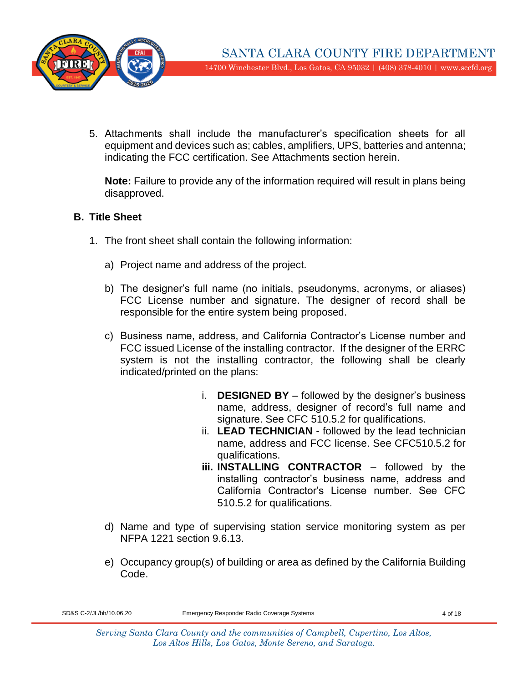

5. Attachments shall include the manufacturer's specification sheets for all equipment and devices such as; cables, amplifiers, UPS, batteries and antenna; indicating the FCC certification. See Attachments section herein.

**Note:** Failure to provide any of the information required will result in plans being disapproved.

### **B. Title Sheet**

- 1. The front sheet shall contain the following information:
	- a) Project name and address of the project.
	- b) The designer's full name (no initials, pseudonyms, acronyms, or aliases) FCC License number and signature. The designer of record shall be responsible for the entire system being proposed.
	- c) Business name, address, and California Contractor's License number and FCC issued License of the installing contractor. If the designer of the ERRC system is not the installing contractor, the following shall be clearly indicated/printed on the plans:
		- i. **DESIGNED BY** followed by the designer's business name, address, designer of record's full name and signature. See CFC 510.5.2 for qualifications.
		- ii. **LEAD TECHNICIAN** followed by the lead technician name, address and FCC license. See CFC510.5.2 for qualifications.
		- **iii. INSTALLING CONTRACTOR** followed by the installing contractor's business name, address and California Contractor's License number. See CFC 510.5.2 for qualifications.
	- d) Name and type of supervising station service monitoring system as per NFPA 1221 section 9.6.13.
	- e) Occupancy group(s) of building or area as defined by the California Building Code.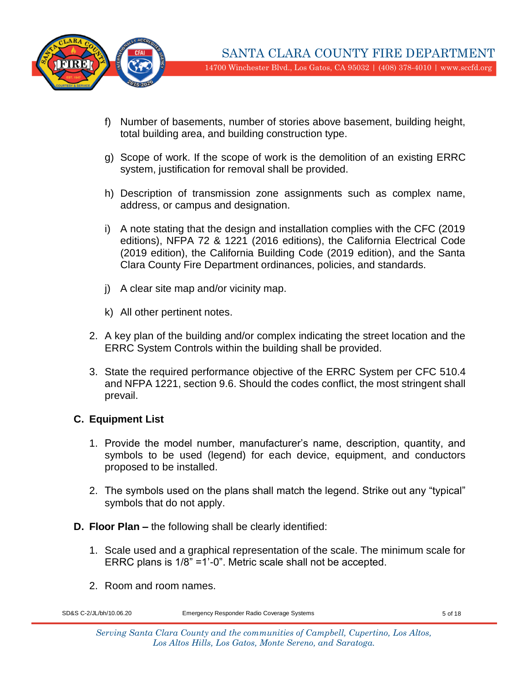

- f) Number of basements, number of stories above basement, building height, total building area, and building construction type.
- g) Scope of work. If the scope of work is the demolition of an existing ERRC system, justification for removal shall be provided.
- h) Description of transmission zone assignments such as complex name, address, or campus and designation.
- i) A note stating that the design and installation complies with the CFC (2019 editions), NFPA 72 & 1221 (2016 editions), the California Electrical Code (2019 edition), the California Building Code (2019 edition), and the Santa Clara County Fire Department ordinances, policies, and standards.
- j) A clear site map and/or vicinity map.
- k) All other pertinent notes.
- 2. A key plan of the building and/or complex indicating the street location and the ERRC System Controls within the building shall be provided.
- 3. State the required performance objective of the ERRC System per CFC 510.4 and NFPA 1221, section 9.6. Should the codes conflict, the most stringent shall prevail.

# **C. Equipment List**

- 1. Provide the model number, manufacturer's name, description, quantity, and symbols to be used (legend) for each device, equipment, and conductors proposed to be installed.
- 2. The symbols used on the plans shall match the legend. Strike out any "typical" symbols that do not apply.
- **D. Floor Plan –** the following shall be clearly identified:
	- 1. Scale used and a graphical representation of the scale. The minimum scale for ERRC plans is 1/8" =1'-0". Metric scale shall not be accepted.
	- 2. Room and room names.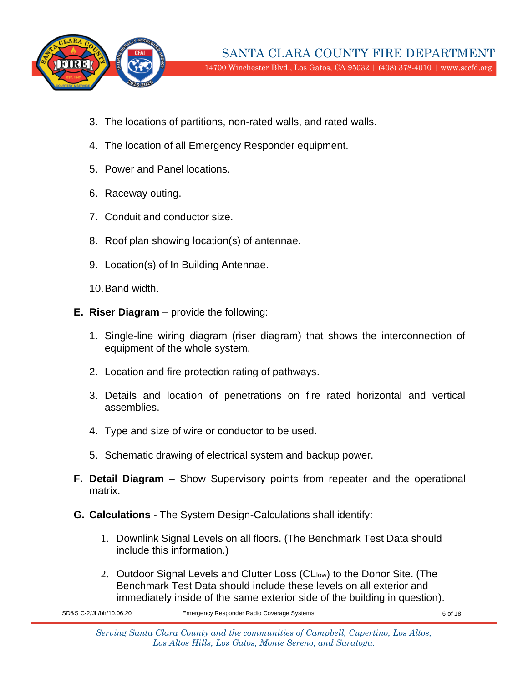

- 3. The locations of partitions, non-rated walls, and rated walls.
- 4. The location of all Emergency Responder equipment.
- 5. Power and Panel locations.
- 6. Raceway outing.
- 7. Conduit and conductor size.
- 8. Roof plan showing location(s) of antennae.
- 9. Location(s) of In Building Antennae.

10.Band width.

- **E. Riser Diagram**  provide the following:
	- 1. Single-line wiring diagram (riser diagram) that shows the interconnection of equipment of the whole system.
	- 2. Location and fire protection rating of pathways.
	- 3. Details and location of penetrations on fire rated horizontal and vertical assemblies.
	- 4. Type and size of wire or conductor to be used.
	- 5. Schematic drawing of electrical system and backup power.
- **F. Detail Diagram** Show Supervisory points from repeater and the operational matrix.
- **G. Calculations**  The System Design-Calculations shall identify:
	- 1. Downlink Signal Levels on all floors. (The Benchmark Test Data should include this information.)
	- 2. Outdoor Signal Levels and Clutter Loss (CLlow) to the Donor Site. (The Benchmark Test Data should include these levels on all exterior and immediately inside of the same exterior side of the building in question).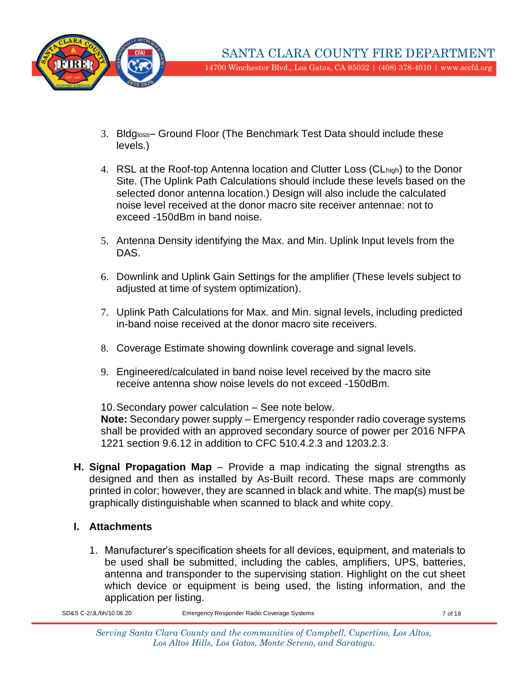

- 3. Bldgloss– Ground Floor (The Benchmark Test Data should include these levels.)
- 4. RSL at the Roof-top Antenna location and Clutter Loss (CLhigh) to the Donor Site. (The Uplink Path Calculations should include these levels based on the selected donor antenna location.) Design will also include the calculated noise level received at the donor macro site receiver antennae: not to exceed -150dBm in band noise.
- 5. Antenna Density identifying the Max. and Min. Uplink Input levels from the DAS.
- 6. Downlink and Uplink Gain Settings for the amplifier (These levels subject to adjusted at time of system optimization).
- 7. Uplink Path Calculations for Max. and Min. signal levels, including predicted in-band noise received at the donor macro site receivers.
- 8. Coverage Estimate showing downlink coverage and signal levels.
- 9. Engineered/calculated in band noise level received by the macro site receive antenna show noise levels do not exceed -150dBm.

10.Secondary power calculation – See note below.

**Note:** Secondary power supply – Emergency responder radio coverage systems shall be provided with an approved secondary source of power per 2016 NFPA 1221 section 9.6.12 in addition to CFC 510.4.2.3 and 1203.2.3.

**H. Signal Propagation Map** – Provide a map indicating the signal strengths as designed and then as installed by As-Built record. These maps are commonly printed in color; however, they are scanned in black and white. The map(s) must be graphically distinguishable when scanned to black and white copy.

# **I. Attachments**

1. Manufacturer's specification sheets for all devices, equipment, and materials to be used shall be submitted, including the cables, amplifiers, UPS, batteries, antenna and transponder to the supervising station. Highlight on the cut sheet which device or equipment is being used, the listing information, and the application per listing.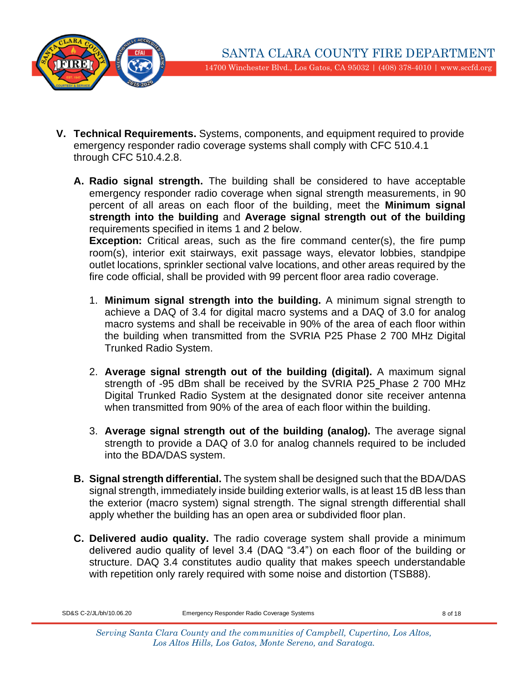

- **V. Technical Requirements.** Systems, components, and equipment required to provide emergency responder radio coverage systems shall comply with CFC 510.4.1 through CFC 510.4.2.8.
	- **A. Radio signal strength.** The building shall be considered to have acceptable emergency responder radio coverage when signal strength measurements, in 90 percent of all areas on each floor of the building, meet the **Minimum signal strength into the building** and **Average signal strength out of the building** requirements specified in items 1 and 2 below.

**Exception:** Critical areas, such as the fire command center(s), the fire pump room(s), interior exit stairways, exit passage ways, elevator lobbies, standpipe outlet locations, sprinkler sectional valve locations, and other areas required by the fire code official, shall be provided with 99 percent floor area radio coverage.

- 1. **Minimum signal strength into the building.** A minimum signal strength to achieve a DAQ of 3.4 for digital macro systems and a DAQ of 3.0 for analog macro systems and shall be receivable in 90% of the area of each floor within the building when transmitted from the SVRIA P25 Phase 2 700 MHz Digital Trunked Radio System.
- 2. **Average signal strength out of the building (digital).** A maximum signal strength of -95 dBm shall be received by the SVRIA P25 Phase 2 700 MHz Digital Trunked Radio System at the designated donor site receiver antenna when transmitted from 90% of the area of each floor within the building.
- 3. **Average signal strength out of the building (analog).** The average signal strength to provide a DAQ of 3.0 for analog channels required to be included into the BDA/DAS system.
- **B. Signal strength differential.** The system shall be designed such that the BDA/DAS signal strength, immediately inside building exterior walls, is at least 15 dB less than the exterior (macro system) signal strength. The signal strength differential shall apply whether the building has an open area or subdivided floor plan.
- **C. Delivered audio quality.** The radio coverage system shall provide a minimum delivered audio quality of level 3.4 (DAQ "3.4") on each floor of the building or structure. DAQ 3.4 constitutes audio quality that makes speech understandable with repetition only rarely required with some noise and distortion (TSB88).

SD&S C-2/JL/bh/10.06.20 Emergency Responder Radio Coverage Systems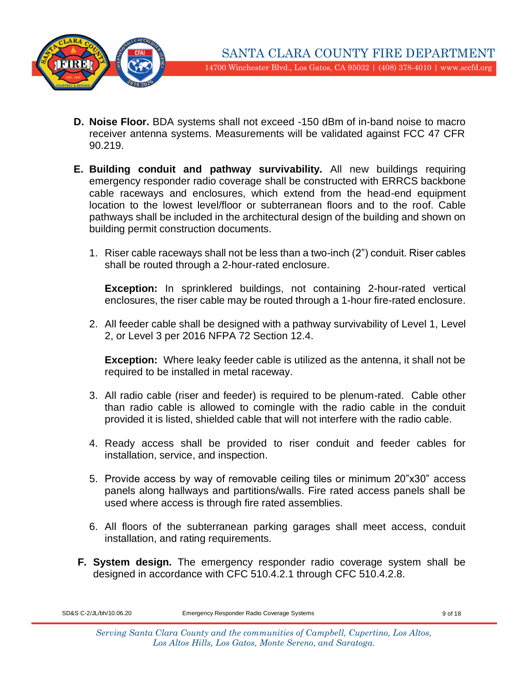

- **D. Noise Floor.** BDA systems shall not exceed -150 dBm of in-band noise to macro receiver antenna systems. Measurements will be validated against FCC 47 CFR 90.219.
- **E. Building conduit and pathway survivability.** All new buildings requiring emergency responder radio coverage shall be constructed with ERRCS backbone cable raceways and enclosures, which extend from the head-end equipment location to the lowest level/floor or subterranean floors and to the roof. Cable pathways shall be included in the architectural design of the building and shown on building permit construction documents.
	- 1. Riser cable raceways shall not be less than a two-inch (2") conduit. Riser cables shall be routed through a 2-hour-rated enclosure.

**Exception:** In sprinklered buildings, not containing 2-hour-rated vertical enclosures, the riser cable may be routed through a 1-hour fire-rated enclosure.

2. All feeder cable shall be designed with a pathway survivability of Level 1, Level 2, or Level 3 per 2016 NFPA 72 Section 12.4.

**Exception:** Where leaky feeder cable is utilized as the antenna, it shall not be required to be installed in metal raceway.

- 3. All radio cable (riser and feeder) is required to be plenum-rated. Cable other than radio cable is allowed to comingle with the radio cable in the conduit provided it is listed, shielded cable that will not interfere with the radio cable.
- 4. Ready access shall be provided to riser conduit and feeder cables for installation, service, and inspection.
- 5. Provide access by way of removable ceiling tiles or minimum 20"x30" access panels along hallways and partitions/walls. Fire rated access panels shall be used where access is through fire rated assemblies.
- 6. All floors of the subterranean parking garages shall meet access, conduit installation, and rating requirements.
- **F. System design.** The emergency responder radio coverage system shall be designed in accordance with CFC 510.4.2.1 through CFC 510.4.2.8.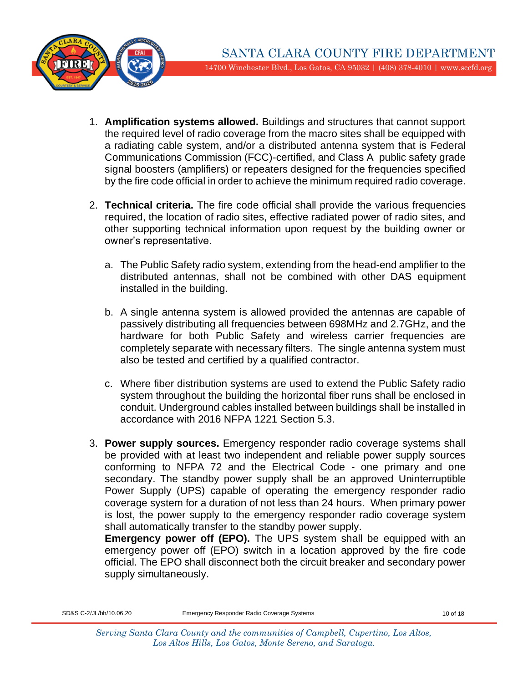

- 1. **Amplification systems allowed.** Buildings and structures that cannot support the required level of radio coverage from the macro sites shall be equipped with a radiating cable system, and/or a distributed antenna system that is Federal Communications Commission (FCC)-certified, and Class A public safety grade signal boosters (amplifiers) or repeaters designed for the frequencies specified by the fire code official in order to achieve the minimum required radio coverage.
- 2. **Technical criteria.** The fire code official shall provide the various frequencies required, the location of radio sites, effective radiated power of radio sites, and other supporting technical information upon request by the building owner or owner's representative.
	- a. The Public Safety radio system, extending from the head-end amplifier to the distributed antennas, shall not be combined with other DAS equipment installed in the building.
	- b. A single antenna system is allowed provided the antennas are capable of passively distributing all frequencies between 698MHz and 2.7GHz, and the hardware for both Public Safety and wireless carrier frequencies are completely separate with necessary filters. The single antenna system must also be tested and certified by a qualified contractor.
	- c. Where fiber distribution systems are used to extend the Public Safety radio system throughout the building the horizontal fiber runs shall be enclosed in conduit. Underground cables installed between buildings shall be installed in accordance with 2016 NFPA 1221 Section 5.3.
- 3. **Power supply sources.** Emergency responder radio coverage systems shall be provided with at least two independent and reliable power supply sources conforming to NFPA 72 and the Electrical Code - one primary and one secondary. The standby power supply shall be an approved Uninterruptible Power Supply (UPS) capable of operating the emergency responder radio coverage system for a duration of not less than 24 hours. When primary power is lost, the power supply to the emergency responder radio coverage system shall automatically transfer to the standby power supply.

**Emergency power off (EPO).** The UPS system shall be equipped with an emergency power off (EPO) switch in a location approved by the fire code official. The EPO shall disconnect both the circuit breaker and secondary power supply simultaneously.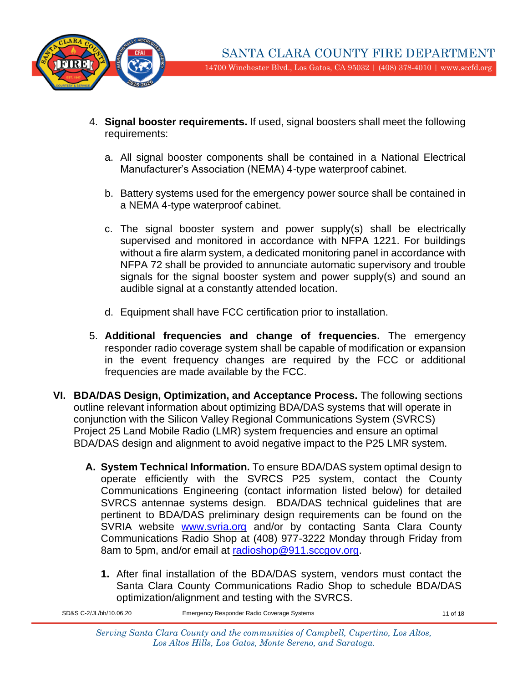

- 4. **Signal booster requirements.** If used, signal boosters shall meet the following requirements:
	- a. All signal booster components shall be contained in a National Electrical Manufacturer's Association (NEMA) 4-type waterproof cabinet.
	- b. Battery systems used for the emergency power source shall be contained in a NEMA 4-type waterproof cabinet.
	- c. The signal booster system and power supply(s) shall be electrically supervised and monitored in accordance with NFPA 1221. For buildings without a fire alarm system, a dedicated monitoring panel in accordance with NFPA 72 shall be provided to annunciate automatic supervisory and trouble signals for the signal booster system and power supply(s) and sound an audible signal at a constantly attended location.
	- d. Equipment shall have FCC certification prior to installation.
- 5. **Additional frequencies and change of frequencies.** The emergency responder radio coverage system shall be capable of modification or expansion in the event frequency changes are required by the FCC or additional frequencies are made available by the FCC.
- **VI. BDA/DAS Design, Optimization, and Acceptance Process.** The following sections outline relevant information about optimizing BDA/DAS systems that will operate in conjunction with the Silicon Valley Regional Communications System (SVRCS) Project 25 Land Mobile Radio (LMR) system frequencies and ensure an optimal BDA/DAS design and alignment to avoid negative impact to the P25 LMR system.
	- **A. System Technical Information.** To ensure BDA/DAS system optimal design to operate efficiently with the SVRCS P25 system, contact the County Communications Engineering (contact information listed below) for detailed SVRCS antennae systems design. BDA/DAS technical guidelines that are pertinent to BDA/DAS preliminary design requirements can be found on the SVRIA website [www.svria.org](http://www.svria.org/) and/or by contacting Santa Clara County Communications Radio Shop at (408) 977-3222 Monday through Friday from 8am to 5pm, and/or email at [radioshop@911.sccgov.org.](mailto:radioshop@911.sccgov.org)
		- **1.** After final installation of the BDA/DAS system, vendors must contact the Santa Clara County Communications Radio Shop to schedule BDA/DAS optimization/alignment and testing with the SVRCS.

SD&S C-2/JL/bh/10.06.20 Emergency Responder Radio Coverage Systems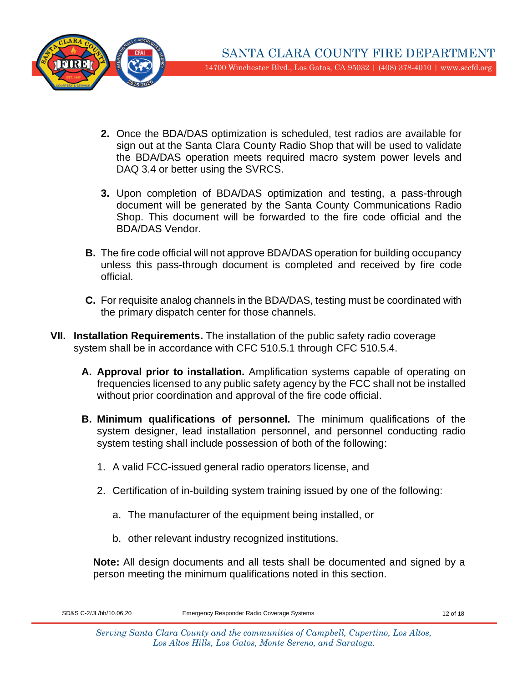

- **2.** Once the BDA/DAS optimization is scheduled, test radios are available for sign out at the Santa Clara County Radio Shop that will be used to validate the BDA/DAS operation meets required macro system power levels and DAQ 3.4 or better using the SVRCS.
- **3.** Upon completion of BDA/DAS optimization and testing, a pass-through document will be generated by the Santa County Communications Radio Shop. This document will be forwarded to the fire code official and the BDA/DAS Vendor.
- **B.** The fire code official will not approve BDA/DAS operation for building occupancy unless this pass-through document is completed and received by fire code official.
- **C.** For requisite analog channels in the BDA/DAS, testing must be coordinated with the primary dispatch center for those channels.
- **VII. Installation Requirements.** The installation of the public safety radio coverage system shall be in accordance with CFC 510.5.1 through CFC 510.5.4.
	- **A. Approval prior to installation.** Amplification systems capable of operating on frequencies licensed to any public safety agency by the FCC shall not be installed without prior coordination and approval of the fire code official.
	- **B. Minimum qualifications of personnel.** The minimum qualifications of the system designer, lead installation personnel, and personnel conducting radio system testing shall include possession of both of the following:
		- 1. A valid FCC-issued general radio operators license, and
		- 2. Certification of in-building system training issued by one of the following:
			- a. The manufacturer of the equipment being installed, or
			- b. other relevant industry recognized institutions.

**Note:** All design documents and all tests shall be documented and signed by a person meeting the minimum qualifications noted in this section.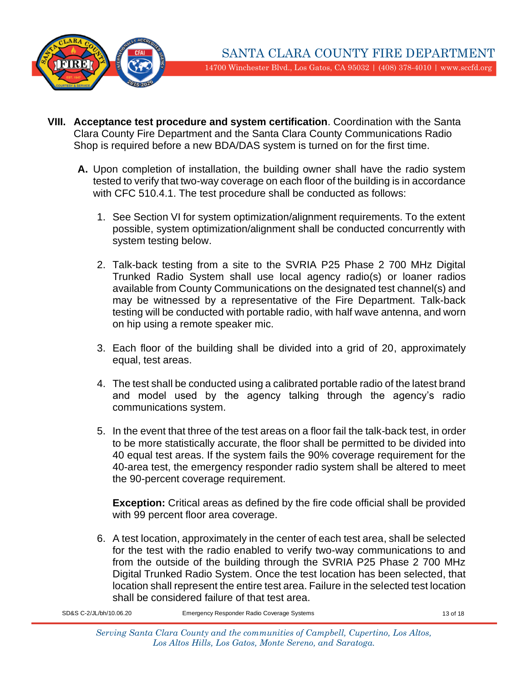

- **VIII. Acceptance test procedure and system certification**. Coordination with the Santa Clara County Fire Department and the Santa Clara County Communications Radio Shop is required before a new BDA/DAS system is turned on for the first time.
	- **A.** Upon completion of installation, the building owner shall have the radio system tested to verify that two-way coverage on each floor of the building is in accordance with CFC 510.4.1. The test procedure shall be conducted as follows:
		- 1. See Section VI for system optimization/alignment requirements. To the extent possible, system optimization/alignment shall be conducted concurrently with system testing below.
		- 2. Talk-back testing from a site to the SVRIA P25 Phase 2 700 MHz Digital Trunked Radio System shall use local agency radio(s) or loaner radios available from County Communications on the designated test channel(s) and may be witnessed by a representative of the Fire Department. Talk-back testing will be conducted with portable radio, with half wave antenna, and worn on hip using a remote speaker mic.
		- 3. Each floor of the building shall be divided into a grid of 20, approximately equal, test areas.
		- 4. The test shall be conducted using a calibrated portable radio of the latest brand and model used by the agency talking through the agency's radio communications system.
		- 5. In the event that three of the test areas on a floor fail the talk-back test, in order to be more statistically accurate, the floor shall be permitted to be divided into 40 equal test areas. If the system fails the 90% coverage requirement for the 40-area test, the emergency responder radio system shall be altered to meet the 90-percent coverage requirement.

**Exception:** Critical areas as defined by the fire code official shall be provided with 99 percent floor area coverage.

6. A test location, approximately in the center of each test area, shall be selected for the test with the radio enabled to verify two-way communications to and from the outside of the building through the SVRIA P25 Phase 2 700 MHz Digital Trunked Radio System. Once the test location has been selected, that location shall represent the entire test area. Failure in the selected test location shall be considered failure of that test area.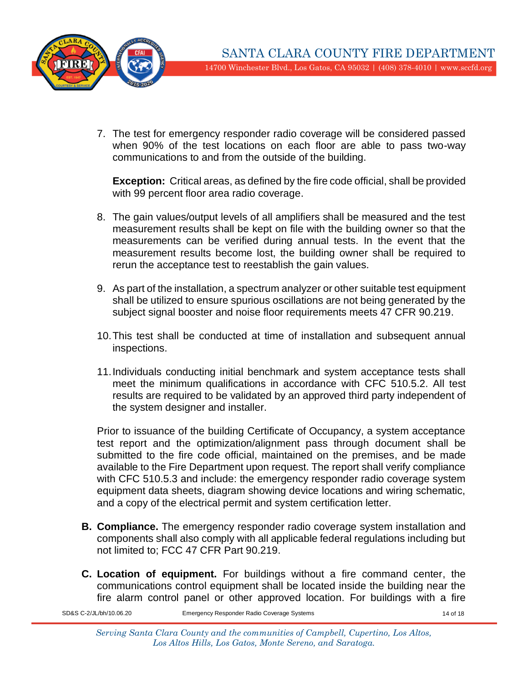

7. The test for emergency responder radio coverage will be considered passed when 90% of the test locations on each floor are able to pass two-way communications to and from the outside of the building.

**Exception:** Critical areas, as defined by the fire code official, shall be provided with 99 percent floor area radio coverage.

- 8. The gain values/output levels of all amplifiers shall be measured and the test measurement results shall be kept on file with the building owner so that the measurements can be verified during annual tests. In the event that the measurement results become lost, the building owner shall be required to rerun the acceptance test to reestablish the gain values.
- 9. As part of the installation, a spectrum analyzer or other suitable test equipment shall be utilized to ensure spurious oscillations are not being generated by the subject signal booster and noise floor requirements meets 47 CFR 90.219.
- 10.This test shall be conducted at time of installation and subsequent annual inspections.
- 11.Individuals conducting initial benchmark and system acceptance tests shall meet the minimum qualifications in accordance with CFC 510.5.2. All test results are required to be validated by an approved third party independent of the system designer and installer.

Prior to issuance of the building Certificate of Occupancy, a system acceptance test report and the optimization/alignment pass through document shall be submitted to the fire code official, maintained on the premises, and be made available to the Fire Department upon request. The report shall verify compliance with CFC 510.5.3 and include: the emergency responder radio coverage system equipment data sheets, diagram showing device locations and wiring schematic, and a copy of the electrical permit and system certification letter.

- **B. Compliance.** The emergency responder radio coverage system installation and components shall also comply with all applicable federal regulations including but not limited to; FCC 47 CFR Part 90.219.
- **C. Location of equipment.** For buildings without a fire command center, the communications control equipment shall be located inside the building near the fire alarm control panel or other approved location. For buildings with a fire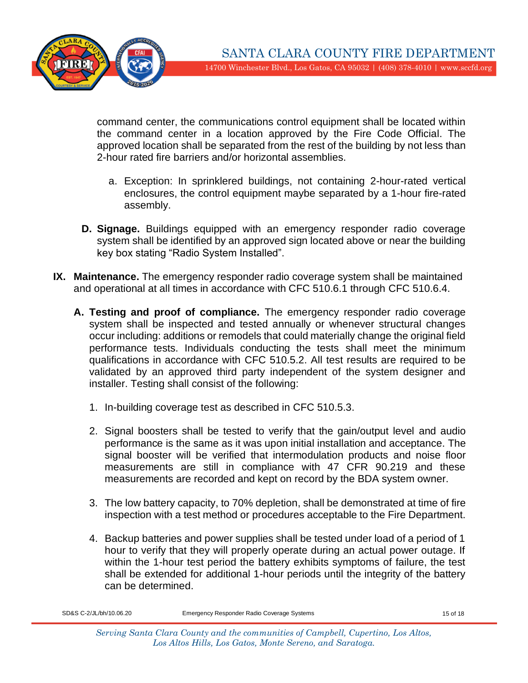

command center, the communications control equipment shall be located within the command center in a location approved by the Fire Code Official. The approved location shall be separated from the rest of the building by not less than 2-hour rated fire barriers and/or horizontal assemblies.

- a. Exception: In sprinklered buildings, not containing 2-hour-rated vertical enclosures, the control equipment maybe separated by a 1-hour fire-rated assembly.
- **D. Signage.** Buildings equipped with an emergency responder radio coverage system shall be identified by an approved sign located above or near the building key box stating "Radio System Installed".
- **IX. Maintenance.** The emergency responder radio coverage system shall be maintained and operational at all times in accordance with CFC 510.6.1 through CFC 510.6.4.
	- **A. Testing and proof of compliance.** The emergency responder radio coverage system shall be inspected and tested annually or whenever structural changes occur including: additions or remodels that could materially change the original field performance tests. Individuals conducting the tests shall meet the minimum qualifications in accordance with CFC 510.5.2. All test results are required to be validated by an approved third party independent of the system designer and installer. Testing shall consist of the following:
		- 1. In-building coverage test as described in CFC 510.5.3.
		- 2. Signal boosters shall be tested to verify that the gain/output level and audio performance is the same as it was upon initial installation and acceptance. The signal booster will be verified that intermodulation products and noise floor measurements are still in compliance with 47 CFR 90.219 and these measurements are recorded and kept on record by the BDA system owner.
		- 3. The low battery capacity, to 70% depletion, shall be demonstrated at time of fire inspection with a test method or procedures acceptable to the Fire Department.
		- 4. Backup batteries and power supplies shall be tested under load of a period of 1 hour to verify that they will properly operate during an actual power outage. If within the 1-hour test period the battery exhibits symptoms of failure, the test shall be extended for additional 1-hour periods until the integrity of the battery can be determined.

SD&S C-2/JL/bh/10.06.20 Emergency Responder Radio Coverage Systems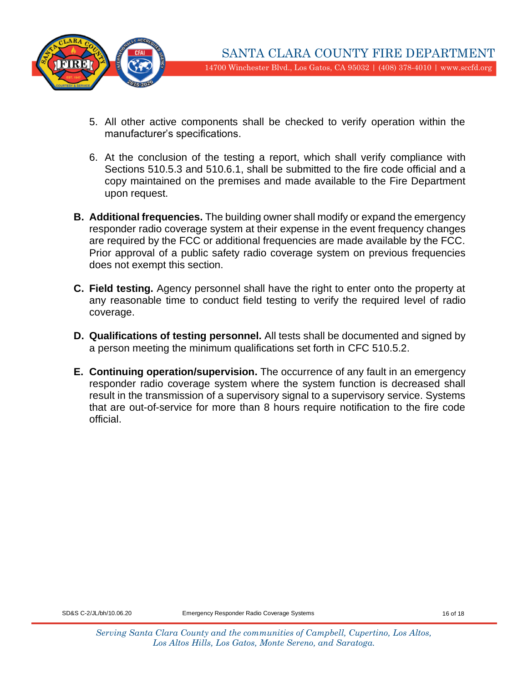

- 5. All other active components shall be checked to verify operation within the manufacturer's specifications.
- 6. At the conclusion of the testing a report, which shall verify compliance with Sections 510.5.3 and 510.6.1, shall be submitted to the fire code official and a copy maintained on the premises and made available to the Fire Department upon request.
- **B. Additional frequencies.** The building owner shall modify or expand the emergency responder radio coverage system at their expense in the event frequency changes are required by the FCC or additional frequencies are made available by the FCC. Prior approval of a public safety radio coverage system on previous frequencies does not exempt this section.
- **C. Field testing.** Agency personnel shall have the right to enter onto the property at any reasonable time to conduct field testing to verify the required level of radio coverage.
- **D. Qualifications of testing personnel.** All tests shall be documented and signed by a person meeting the minimum qualifications set forth in CFC 510.5.2.
- **E. Continuing operation/supervision.** The occurrence of any fault in an emergency responder radio coverage system where the system function is decreased shall result in the transmission of a supervisory signal to a supervisory service. Systems that are out-of-service for more than 8 hours require notification to the fire code official.